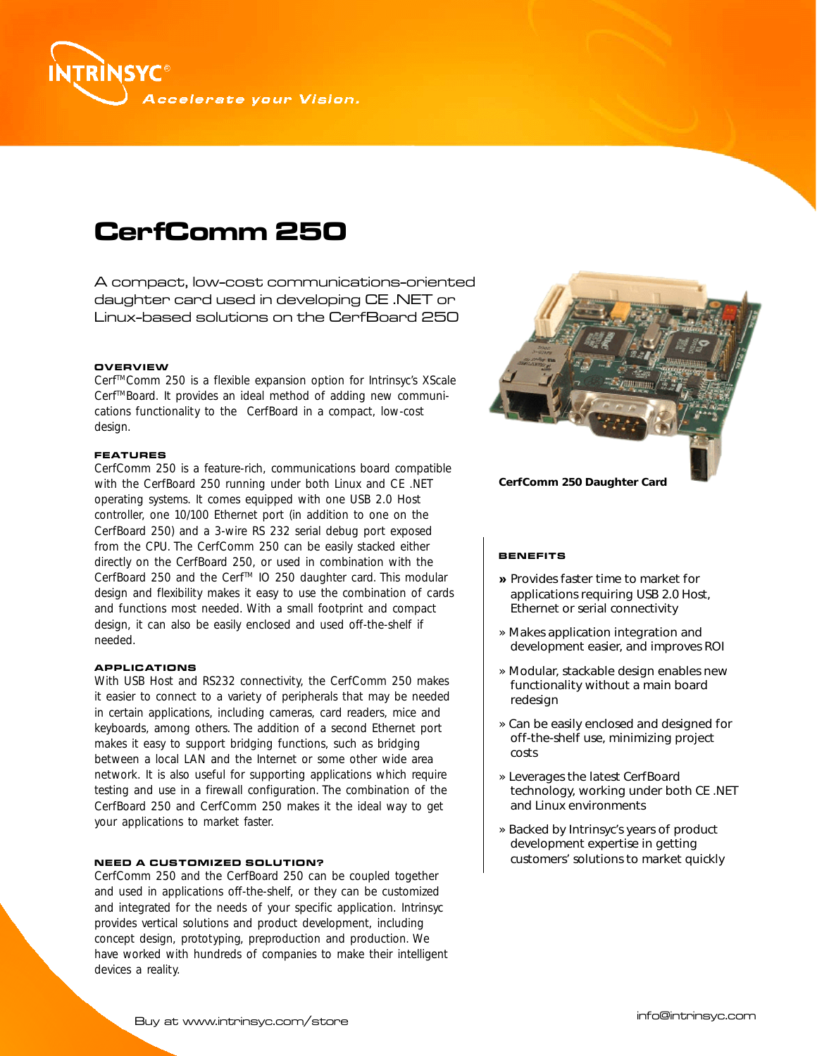

# **CerfComm 250**

A compact, low-cost communications-oriented daughter card used in developing CE .NET or Linux-based solutions on the CerfBoard 250

#### **OVERVIEW**

Cerf<sup>™</sup>Comm 250 is a flexible expansion option for Intrinsyc's XScale Cerf<sup>™</sup>Board. It provides an ideal method of adding new communications functionality to the CerfBoard in a compact, low-cost design.

## **FEATURES**

CerfComm 250 is a feature-rich, communications board compatible with the CerfBoard 250 running under both Linux and CE .NET operating systems. It comes equipped with one USB 2.0 Host controller, one 10/100 Ethernet port (in addition to one on the CerfBoard 250) and a 3-wire RS 232 serial debug port exposed from the CPU. The CerfComm 250 can be easily stacked either directly on the CerfBoard 250, or used in combination with the CerfBoard 250 and the Cerf™ IO 250 daughter card. This modular design and flexibility makes it easy to use the combination of cards and functions most needed. With a small footprint and compact design, it can also be easily enclosed and used off-the-shelf if needed.

## **APPLICATIONS**

With USB Host and RS232 connectivity, the CerfComm 250 makes it easier to connect to a variety of peripherals that may be needed in certain applications, including cameras, card readers, mice and keyboards, among others. The addition of a second Ethernet port makes it easy to support bridging functions, such as bridging between a local LAN and the Internet or some other wide area network. It is also useful for supporting applications which require testing and use in a firewall configuration. The combination of the CerfBoard 250 and CerfComm 250 makes it the ideal way to get your applications to market faster.

#### **NEED A CUSTOMIZED SOLUTION?**

CerfComm 250 and the CerfBoard 250 can be coupled together and used in applications off-the-shelf, or they can be customized and integrated for the needs of your specific application. Intrinsyc provides vertical solutions and product development, including concept design, prototyping, preproduction and production. We have worked with hundreds of companies to make their intelligent devices a reality.



#### **BENEFITS**

- » Provides faster time to market for applications requiring USB 2.0 Host, Ethernet or serial connectivity
- *»* Makes application integration and development easier, and improves ROI
- » Modular, stackable design enables new functionality without a main board redesign
- » Can be easily enclosed and designed for off-the-shelf use, minimizing project costs
- » Leverages the latest CerfBoard technology, working under both CE .NET and Linux environments
- » Backed by Intrinsyc's years of product development expertise in getting customers' solutions to market quickly